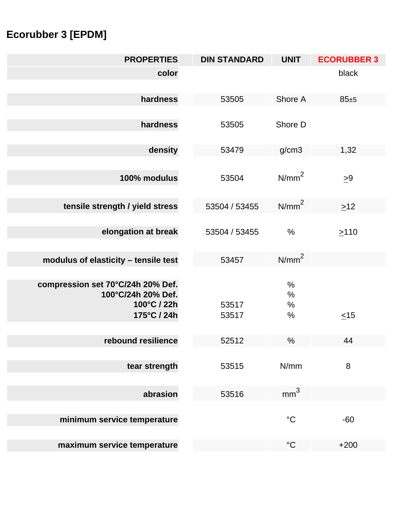## **Ecorubber 3 [EPDM]**

| <b>PROPERTIES</b>                                                                     | <b>DIN STANDARD</b> | <b>UNIT</b>               | <b>ECORUBBER 3</b> |
|---------------------------------------------------------------------------------------|---------------------|---------------------------|--------------------|
| color                                                                                 |                     |                           | black              |
| hardness                                                                              | 53505               | Shore A                   | $85 + 5$           |
| hardness                                                                              | 53505               | Shore D                   |                    |
| density                                                                               | 53479               | g/cm3                     | 1,32               |
| 100% modulus                                                                          | 53504               | N/mm <sup>2</sup>         | $\geq 9$           |
| tensile strength / yield stress                                                       | 53504 / 53455       | N/mm <sup>2</sup>         | $\geq$ 12          |
| elongation at break                                                                   | 53504 / 53455       | $\frac{0}{0}$             | >110               |
| modulus of elasticity - tensile test                                                  | 53457               | N/mm <sup>2</sup>         |                    |
| compression set 70°C/24h 20% Def.<br>100°C/24h 20% Def.<br>100°C / 22h<br>175°C / 24h | 53517<br>53517      | $\%$<br>$\%$<br>%<br>$\%$ | $\leq$ 15          |
| rebound resilience                                                                    | 52512               | $\%$                      | 44                 |
| tear strength                                                                         | 53515               | N/mm                      | 8                  |
| abrasion                                                                              | 53516               | mm <sup>3</sup>           |                    |
| minimum service temperature                                                           |                     | $\rm ^{\circ}C$           | $-60$              |
| maximum service temperature                                                           |                     | $\rm ^{\circ}C$           | $+200$             |